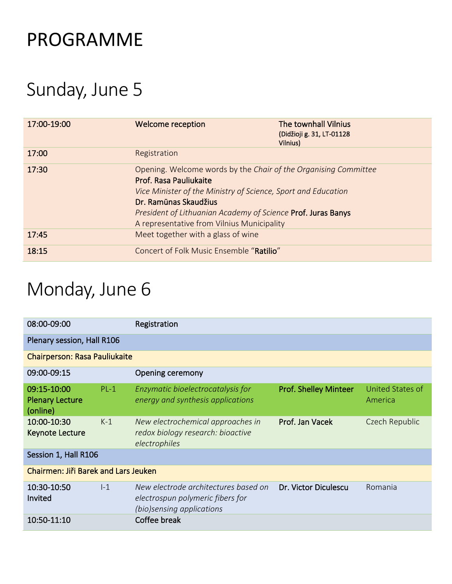## PROGRAMME

## Sunday, June 5

| 17:00-19:00 | Welcome reception                                                                                                                                                                                                                                                                                 | <b>The townhall Vilnius</b><br>(Didžioji g. 31, LT-01128<br>Vilnius) |
|-------------|---------------------------------------------------------------------------------------------------------------------------------------------------------------------------------------------------------------------------------------------------------------------------------------------------|----------------------------------------------------------------------|
| 17:00       | Registration                                                                                                                                                                                                                                                                                      |                                                                      |
| 17:30       | Opening. Welcome words by the Chair of the Organising Committee<br>Prof. Rasa Pauliukaite<br>Vice Minister of the Ministry of Science, Sport and Education<br>Dr. Ramūnas Skaudžius<br>President of Lithuanian Academy of Science Prof. Juras Banys<br>A representative from Vilnius Municipality |                                                                      |
| 17:45       | Meet together with a glass of wine                                                                                                                                                                                                                                                                |                                                                      |
| 18:15       | Concert of Folk Music Ensemble "Ratilio"                                                                                                                                                                                                                                                          |                                                                      |

# Monday, June 6

| 08:00-09:00                                       |        | Registration                                                                                          |                              |                             |  |
|---------------------------------------------------|--------|-------------------------------------------------------------------------------------------------------|------------------------------|-----------------------------|--|
| Plenary session, Hall R106                        |        |                                                                                                       |                              |                             |  |
| <b>Chairperson: Rasa Pauliukaite</b>              |        |                                                                                                       |                              |                             |  |
| 09:00-09:15                                       |        | Opening ceremony                                                                                      |                              |                             |  |
| 09:15-10:00<br><b>Plenary Lecture</b><br>(online) | $PL-1$ | Enzymatic bioelectrocatalysis for<br>energy and synthesis applications                                | <b>Prof. Shelley Minteer</b> | United States of<br>America |  |
| 10:00-10:30<br><b>Keynote Lecture</b>             | $K-1$  | New electrochemical approaches in<br>redox biology research: bioactive<br>electrophiles               | Prof. Jan Vacek              | Czech Republic              |  |
| Session 1, Hall R106                              |        |                                                                                                       |                              |                             |  |
| Chairmen: Jiři Barek and Lars Jeuken              |        |                                                                                                       |                              |                             |  |
| 10:30-10:50<br>Invited                            | $I-1$  | New electrode architectures based on<br>electrospun polymeric fibers for<br>(bio)sensing applications | Dr. Victor Diculescu         | Romania                     |  |
| 10:50-11:10                                       |        | Coffee break                                                                                          |                              |                             |  |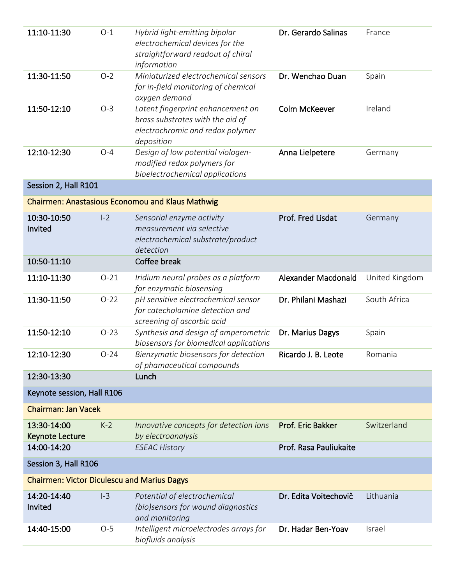| 11:10-11:30                                        | $O-1$    | Hybrid light-emitting bipolar<br>electrochemical devices for the<br>straightforward readout of chiral<br>information    | Dr. Gerardo Salinas        | France         |
|----------------------------------------------------|----------|-------------------------------------------------------------------------------------------------------------------------|----------------------------|----------------|
| 11:30-11:50                                        | $O-2$    | Miniaturized electrochemical sensors<br>for in-field monitoring of chemical<br>oxygen demand                            | Dr. Wenchao Duan           | Spain          |
| 11:50-12:10                                        | $O-3$    | Latent fingerprint enhancement on<br>brass substrates with the aid of<br>electrochromic and redox polymer<br>deposition | <b>Colm McKeever</b>       | Ireland        |
| 12:10-12:30                                        | $O-4$    | Design of low potential viologen-<br>modified redox polymers for<br>bioelectrochemical applications                     | Anna Lielpetere            | Germany        |
| Session 2, Hall R101                               |          |                                                                                                                         |                            |                |
|                                                    |          | <b>Chairmen: Anastasious Economou and Klaus Mathwig</b>                                                                 |                            |                |
| 10:30-10:50<br>Invited                             | $I-2$    | Sensorial enzyme activity<br>measurement via selective<br>electrochemical substrate/product<br>detection                | Prof. Fred Lisdat          | Germany        |
| 10:50-11:10                                        |          | Coffee break                                                                                                            |                            |                |
| 11:10-11:30                                        | $O-21$   | Iridium neural probes as a platform<br>for enzymatic biosensing                                                         | <b>Alexander Macdonald</b> | United Kingdom |
| 11:30-11:50                                        | $O-22$   | pH sensitive electrochemical sensor<br>for catecholamine detection and<br>screening of ascorbic acid                    | Dr. Philani Mashazi        | South Africa   |
| 11:50-12:10                                        | $O-23$   | Synthesis and design of amperometric<br>biosensors for biomedical applications                                          | Dr. Marius Dagys           | Spain          |
| 12:10-12:30                                        | $O - 24$ | Bienzymatic biosensors for detection<br>of phamaceutical compounds                                                      | Ricardo J. B. Leote        | Romania        |
| 12:30-13:30                                        |          | Lunch                                                                                                                   |                            |                |
| Keynote session, Hall R106                         |          |                                                                                                                         |                            |                |
| <b>Chairman: Jan Vacek</b>                         |          |                                                                                                                         |                            |                |
| 13:30-14:00<br>Keynote Lecture                     | $K-2$    | Innovative concepts for detection ions<br>by electroanalysis                                                            | Prof. Eric Bakker          | Switzerland    |
| 14:00-14:20                                        |          | <b>ESEAC History</b>                                                                                                    | Prof. Rasa Pauliukaite     |                |
| Session 3, Hall R106                               |          |                                                                                                                         |                            |                |
| <b>Chairmen: Victor Diculescu and Marius Dagys</b> |          |                                                                                                                         |                            |                |
| 14:20-14:40<br>Invited                             | $I-3$    | Potential of electrochemical<br>(bio)sensors for wound diagnostics<br>and monitoring                                    | Dr. Edita Voitechovič      | Lithuania      |
| 14:40-15:00                                        | $O-5$    | Intelligent microelectrodes arrays for<br>biofluids analysis                                                            | Dr. Hadar Ben-Yoav         | Israel         |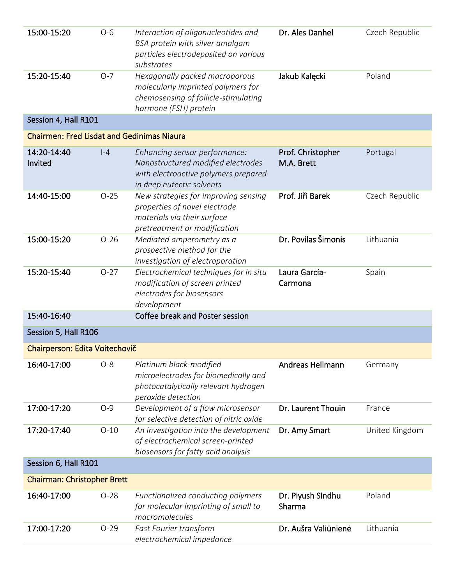| 15:00-15:20<br>15:20-15:40                        | $O-6$<br>$O-7$ | Interaction of oligonucleotides and<br>BSA protein with silver amalgam<br>particles electrodeposited on various<br>substrates            | Dr. Ales Danhel                 | Czech Republic<br>Poland |
|---------------------------------------------------|----------------|------------------------------------------------------------------------------------------------------------------------------------------|---------------------------------|--------------------------|
|                                                   |                | Hexagonally packed macroporous<br>molecularly imprinted polymers for<br>chemosensing of follicle-stimulating<br>hormone (FSH) protein    | Jakub Kalęcki                   |                          |
| Session 4, Hall R101                              |                |                                                                                                                                          |                                 |                          |
| <b>Chairmen: Fred Lisdat and Gedinimas Niaura</b> |                |                                                                                                                                          |                                 |                          |
| 14:20-14:40<br>Invited                            | $ -4$          | Enhancing sensor performance:<br>Nanostructured modified electrodes<br>with electroactive polymers prepared<br>in deep eutectic solvents | Prof. Christopher<br>M.A. Brett | Portugal                 |
| 14:40-15:00                                       | $O-25$         | New strategies for improving sensing<br>properties of novel electrode<br>materials via their surface<br>pretreatment or modification     | Prof. Jiři Barek                | Czech Republic           |
| 15:00-15:20                                       | $O-26$         | Mediated amperometry as a<br>prospective method for the<br>investigation of electroporation                                              | Dr. Povilas Šimonis             | Lithuania                |
| 15:20-15:40                                       | $O-27$         | Electrochemical techniques for in situ<br>modification of screen printed<br>electrodes for biosensors<br>development                     | Laura García-<br>Carmona        | Spain                    |
| 15:40-16:40                                       |                | Coffee break and Poster session                                                                                                          |                                 |                          |
| Session 5, Hall R106                              |                |                                                                                                                                          |                                 |                          |
| Chairperson: Edita Voitechovič                    |                |                                                                                                                                          |                                 |                          |
| 16:40-17:00                                       | $O-8$          | Platinum black-modified<br>microelectrodes for biomedically and<br>photocatalytically relevant hydrogen<br>peroxide detection            | Andreas Hellmann                | Germany                  |
| 17:00-17:20                                       | $O-9$          | Development of a flow microsensor<br>for selective detection of nitric oxide                                                             | Dr. Laurent Thouin              | France                   |
| 17:20-17:40                                       | $O-10$         | An investigation into the development<br>of electrochemical screen-printed<br>biosensors for fatty acid analysis                         | Dr. Amy Smart                   | United Kingdom           |
| Session 6, Hall R101                              |                |                                                                                                                                          |                                 |                          |
| <b>Chairman: Christopher Brett</b>                |                |                                                                                                                                          |                                 |                          |
| 16:40-17:00                                       | $O-28$         | Functionalized conducting polymers<br>for molecular imprinting of small to<br>macromolecules                                             | Dr. Piyush Sindhu<br>Sharma     | Poland                   |
| 17:00-17:20                                       | $O-29$         | Fast Fourier transform<br>electrochemical impedance                                                                                      | Dr. Aušra Valiūnienė            | Lithuania                |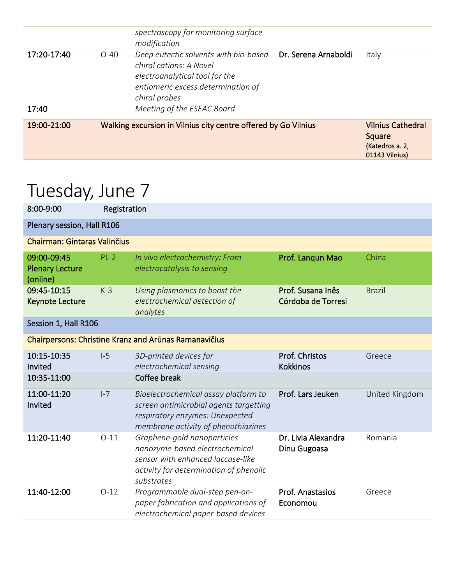| spectroscopy for monitoring surface<br>modification<br>Dr. Serena Arnaboldi<br>17:20-17:40<br>Deep eutectic solvents with bio-based<br>Italy<br>$O-40$<br>chiral cations: A Novel<br>electroanalytical tool for the<br>entiomeric excess determination of<br>chiral probes<br>Meeting of the ESEAC Board<br>17:40 | 19:00-21:00 | Walking excursion in Vilnius city centre offered by Go Vilnius | <b>Vilnius Cathedral</b><br>Square<br>(Katedros a. 2,<br>01143 Vilnius) |
|-------------------------------------------------------------------------------------------------------------------------------------------------------------------------------------------------------------------------------------------------------------------------------------------------------------------|-------------|----------------------------------------------------------------|-------------------------------------------------------------------------|
|                                                                                                                                                                                                                                                                                                                   |             |                                                                |                                                                         |
|                                                                                                                                                                                                                                                                                                                   |             |                                                                |                                                                         |

### Tuesday, June 7

| 8:00-9:00                                         | Registration |                                                                                                                                                            |                                         |                |  |
|---------------------------------------------------|--------------|------------------------------------------------------------------------------------------------------------------------------------------------------------|-----------------------------------------|----------------|--|
| Plenary session, Hall R106                        |              |                                                                                                                                                            |                                         |                |  |
| <b>Chairman: Gintaras Valinčius</b>               |              |                                                                                                                                                            |                                         |                |  |
| 09:00-09:45<br><b>Plenary Lecture</b><br>(online) | $PL-2$       | In vivo electrochemistry: From<br>electrocatalysis to sensing                                                                                              | Prof. Langun Mao                        | China          |  |
| 09:45-10:15<br>Keynote Lecture                    | $K-3$        | Using plasmonics to boost the<br>electrochemical detection of<br>analytes                                                                                  | Prof. Susana Inês<br>Córdoba de Torresi | <b>Brazil</b>  |  |
| Session 1, Hall R106                              |              |                                                                                                                                                            |                                         |                |  |
|                                                   |              | Chairpersons: Christine Kranz and Arūnas Ramanavičius                                                                                                      |                                         |                |  |
| 10:15-10:35<br>Invited                            | $I-5$        | 3D-printed devices for<br>electrochemical sensing                                                                                                          | Prof. Christos<br><b>Kokkinos</b>       | Greece         |  |
| 10:35-11:00                                       |              | Coffee break                                                                                                                                               |                                         |                |  |
| 11:00-11:20<br>Invited                            | $I - 7$      | Bioelectrochemical assay platform to<br>screen antimicrobial agents targetting<br>respiratory enzymes: Unexpected<br>membrane activity of phenothiazines   | Prof. Lars Jeuken                       | United Kingdom |  |
| 11:20-11:40                                       | $O-11$       | Graphene-gold nanoparticles<br>nanozyme-based electrochemical<br>sensor with enhanced laccase-like<br>activity for determination of phenolic<br>substrates | Dr. Livia Alexandra<br>Dinu Gugoasa     | Romania        |  |
| 11:40-12:00                                       | $O-12$       | Programmable dual-step pen-on-<br>paper fabrication and applications of<br>electrochemical paper-based devices                                             | Prof. Anastasios<br>Economou            | Greece         |  |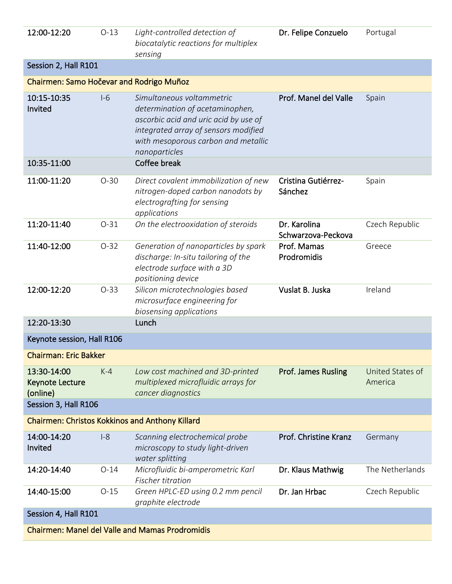| 12:00-12:20                                            | $O-13$ | Light-controlled detection of<br>biocatalytic reactions for multiplex<br>sensing                                                                                                                      | Dr. Felipe Conzuelo                | Portugal                    |
|--------------------------------------------------------|--------|-------------------------------------------------------------------------------------------------------------------------------------------------------------------------------------------------------|------------------------------------|-----------------------------|
| Session 2, Hall R101                                   |        |                                                                                                                                                                                                       |                                    |                             |
| Chairmen: Samo Hočevar and Rodrigo Muñoz               |        |                                                                                                                                                                                                       |                                    |                             |
| 10:15-10:35<br>Invited                                 | $I-6$  | Simultaneous voltammetric<br>determination of acetaminophen,<br>ascorbic acid and uric acid by use of<br>integrated array of sensors modified<br>with mesoporous carbon and metallic<br>nanoparticles | Prof. Manel del Valle              | Spain                       |
| 10:35-11:00                                            |        | Coffee break                                                                                                                                                                                          |                                    |                             |
| 11:00-11:20                                            | $O-30$ | Direct covalent immobilization of new<br>nitrogen-doped carbon nanodots by<br>electrografting for sensing<br>applications                                                                             | Cristina Gutiérrez-<br>Sánchez     | Spain                       |
| 11:20-11:40                                            | $O-31$ | On the electrooxidation of steroids                                                                                                                                                                   | Dr. Karolina<br>Schwarzova-Peckova | Czech Republic              |
| 11:40-12:00                                            | $O-32$ | Generation of nanoparticles by spark<br>discharge: In-situ tailoring of the<br>electrode surface with a 3D<br>positioning device                                                                      | Prof. Mamas<br>Prodromidis         | Greece                      |
| 12:00-12:20                                            | $O-33$ | Silicon microtechnologies based<br>microsurface engineering for<br>biosensing applications                                                                                                            | Vuslat B. Juska                    | Ireland                     |
| 12:20-13:30                                            |        | Lunch                                                                                                                                                                                                 |                                    |                             |
| Keynote session, Hall R106                             |        |                                                                                                                                                                                                       |                                    |                             |
| <b>Chairman: Eric Bakker</b>                           |        |                                                                                                                                                                                                       |                                    |                             |
| 13:30-14:00<br>Keynote Lecture<br>(online)             | $K-4$  | Low cost machined and 3D-printed<br>multiplexed microfluidic arrays for<br>cancer diagnostics                                                                                                         | <b>Prof. James Rusling</b>         | United States of<br>America |
| Session 3, Hall R106                                   |        |                                                                                                                                                                                                       |                                    |                             |
|                                                        |        | <b>Chairmen: Christos Kokkinos and Anthony Killard</b>                                                                                                                                                |                                    |                             |
| 14:00-14:20<br>Invited                                 | $I-8$  | Scanning electrochemical probe<br>microscopy to study light-driven<br>water splitting                                                                                                                 | Prof. Christine Kranz              | Germany                     |
| 14:20-14:40                                            | $O-14$ | Microfluidic bi-amperometric Karl<br>Fischer titration                                                                                                                                                | Dr. Klaus Mathwig                  | The Netherlands             |
| 14:40-15:00                                            | $O-15$ | Green HPLC-ED using 0.2 mm pencil<br>graphite electrode                                                                                                                                               | Dr. Jan Hrbac                      | Czech Republic              |
| Session 4, Hall R101                                   |        |                                                                                                                                                                                                       |                                    |                             |
| <b>Chairmen: Manel del Valle and Mamas Prodromidis</b> |        |                                                                                                                                                                                                       |                                    |                             |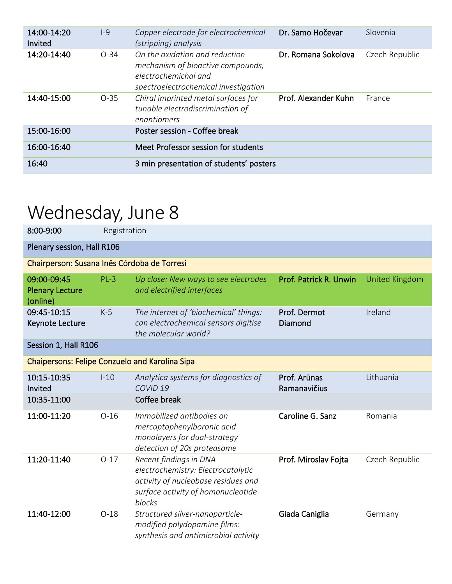| 14:00-14:20<br>Invited | $ -9$  | Copper electrode for electrochemical<br>(stripping) analysis                                                                        | Dr. Samo Hočevar     | Slovenia       |
|------------------------|--------|-------------------------------------------------------------------------------------------------------------------------------------|----------------------|----------------|
| 14:20-14:40            | $O-34$ | On the oxidation and reduction<br>mechanism of bioactive compounds,<br>electrochemichal and<br>spectroelectrochemical investigation | Dr. Romana Sokolova  | Czech Republic |
| 14:40-15:00            | $O-35$ | Chiral imprinted metal surfaces for<br>tunable electrodiscrimination of<br>enantiomers                                              | Prof. Alexander Kuhn | France         |
| 15:00-16:00            |        | Poster session - Coffee break                                                                                                       |                      |                |
| 16:00-16:40            |        | Meet Professor session for students                                                                                                 |                      |                |
| 16:40                  |        | 3 min presentation of students' posters                                                                                             |                      |                |

# Wednesday, June 8

| 8:00-9:00                                             | Registration               |                                                                                                                                                     |                              |                       |  |  |
|-------------------------------------------------------|----------------------------|-----------------------------------------------------------------------------------------------------------------------------------------------------|------------------------------|-----------------------|--|--|
|                                                       | Plenary session, Hall R106 |                                                                                                                                                     |                              |                       |  |  |
| Chairperson: Susana Inês Córdoba de Torresi           |                            |                                                                                                                                                     |                              |                       |  |  |
| 09:00-09:45<br><b>Plenary Lecture</b><br>(online)     | $PL-3$                     | Up close: New ways to see electrodes<br>and electrified interfaces                                                                                  | Prof. Patrick R. Unwin       | <b>United Kingdom</b> |  |  |
| 09:45-10:15<br>Keynote Lecture                        | $K-5$                      | The internet of 'biochemical' things:<br>can electrochemical sensors digitise<br>the molecular world?                                               | Prof. Dermot<br>Diamond      | Ireland               |  |  |
| Session 1, Hall R106                                  |                            |                                                                                                                                                     |                              |                       |  |  |
| <b>Chaipersons: Felipe Conzuelo and Karolina Sipa</b> |                            |                                                                                                                                                     |                              |                       |  |  |
| 10:15-10:35<br>Invited                                | $1-10$                     | Analytica systems for diagnostics of<br>COVID <sub>19</sub>                                                                                         | Prof. Arūnas<br>Ramanavičius | Lithuania             |  |  |
| 10:35-11:00                                           |                            | Coffee break                                                                                                                                        |                              |                       |  |  |
| 11:00-11:20                                           | $O-16$                     | Immobilized antibodies on<br>mercaptophenylboronic acid<br>monolayers for dual-strategy<br>detection of 20s proteasome                              | Caroline G. Sanz             | Romania               |  |  |
| 11:20-11:40                                           | $O-17$                     | Recent findings in DNA<br>electrochemistry: Electrocatalytic<br>activity of nucleobase residues and<br>surface activity of homonucleotide<br>blocks | Prof. Miroslav Fojta         | Czech Republic        |  |  |
| 11:40-12:00                                           | $O-18$                     | Structured silver-nanoparticle-<br>modified polydopamine films:<br>synthesis and antimicrobial activity                                             | Giada Caniglia               | Germany               |  |  |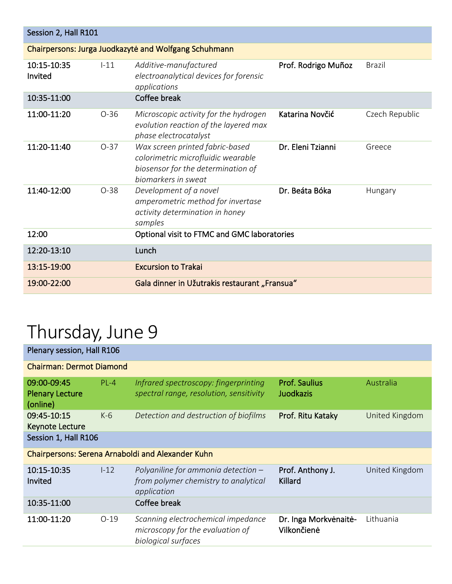| Session 2, Hall R101   |                                                       |                                                                                                                                    |                     |                |  |  |  |
|------------------------|-------------------------------------------------------|------------------------------------------------------------------------------------------------------------------------------------|---------------------|----------------|--|--|--|
|                        | Chairpersons: Jurga Juodkazytė and Wolfgang Schuhmann |                                                                                                                                    |                     |                |  |  |  |
| 10:15-10:35<br>Invited | $1 - 11$                                              | Additive-manufactured<br>electroanalytical devices for forensic<br>applications                                                    | Prof. Rodrigo Muñoz | <b>Brazil</b>  |  |  |  |
| 10:35-11:00            |                                                       | Coffee break                                                                                                                       |                     |                |  |  |  |
| 11:00-11:20            | $O-36$                                                | Microscopic activity for the hydrogen<br>evolution reaction of the layered max<br>phase electrocatalyst                            | Katarina Novčić     | Czech Republic |  |  |  |
| 11:20-11:40            | $O-37$                                                | Wax screen printed fabric-based<br>colorimetric microfluidic wearable<br>biosensor for the determination of<br>biomarkers in sweat | Dr. Eleni Tzianni   | Greece         |  |  |  |
| 11:40-12:00            | $O-38$                                                | Development of a novel<br>amperometric method for invertase<br>activity determination in honey<br>samples                          | Dr. Beáta Bóka      | Hungary        |  |  |  |
| 12:00                  |                                                       | Optional visit to FTMC and GMC laboratories                                                                                        |                     |                |  |  |  |
| 12:20-13:10            |                                                       | Lunch                                                                                                                              |                     |                |  |  |  |
| 13:15-19:00            |                                                       | <b>Excursion to Trakai</b>                                                                                                         |                     |                |  |  |  |
| 19:00-22:00            |                                                       | Gala dinner in Užutrakis restaurant "Fransua"                                                                                      |                     |                |  |  |  |

# Thursday, June 9

| Plenary session, Hall R106                        |              |                                                                                               |                                          |                |  |  |
|---------------------------------------------------|--------------|-----------------------------------------------------------------------------------------------|------------------------------------------|----------------|--|--|
| <b>Chairman: Dermot Diamond</b>                   |              |                                                                                               |                                          |                |  |  |
| 09:00-09:45<br><b>Plenary Lecture</b><br>(online) | $PL-4$       | Infrared spectroscopy: fingerprinting<br>spectral range, resolution, sensitivity              | <b>Prof. Saulius</b><br><b>Juodkazis</b> | Australia      |  |  |
| 09:45-10:15<br><b>Keynote Lecture</b>             | $K-6$        | Detection and destruction of biofilms                                                         | Prof. Ritu Kataky                        | United Kingdom |  |  |
| Session 1, Hall R106                              |              |                                                                                               |                                          |                |  |  |
|                                                   |              | Chairpersons: Serena Arnaboldi and Alexander Kuhn                                             |                                          |                |  |  |
| 10:15-10:35<br>Invited                            | $1-12$       | Polyaniline for ammonia detection $-$<br>from polymer chemistry to analytical<br>application  | Prof. Anthony J.<br>Killard              | United Kingdom |  |  |
| 10:35-11:00                                       | Coffee break |                                                                                               |                                          |                |  |  |
| 11:00-11:20                                       | $O-19$       | Scanning electrochemical impedance<br>microscopy for the evaluation of<br>biological surfaces | Dr. Inga Morkvėnaitė-<br>Vilkončienė     | Lithuania      |  |  |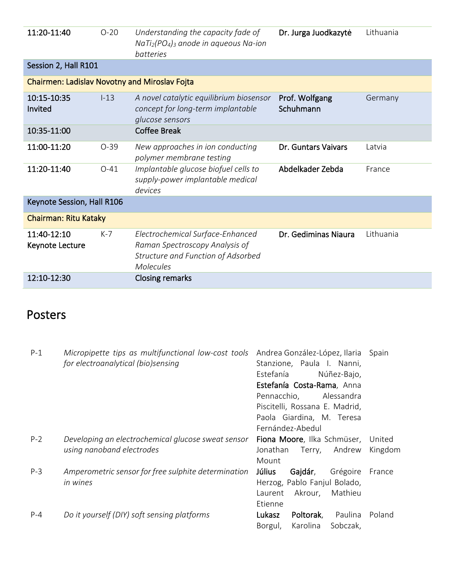| 11:20-11:40                                          | $O-20$   | Understanding the capacity fade of<br>$Nafi2(PO4)3$ anode in aqueous Na-ion<br>hatteries                                     | Dr. Jurga Juodkazytė        | Lithuania |
|------------------------------------------------------|----------|------------------------------------------------------------------------------------------------------------------------------|-----------------------------|-----------|
| Session 2, Hall R101                                 |          |                                                                                                                              |                             |           |
| <b>Chairmen: Ladislav Novotny and Miroslav Fojta</b> |          |                                                                                                                              |                             |           |
| 10:15-10:35<br>Invited                               | $1 - 13$ | A novel catalytic equilibrium biosensor<br>concept for long-term implantable<br>glucose sensors                              | Prof. Wolfgang<br>Schuhmann | Germany   |
| 10:35-11:00                                          |          | <b>Coffee Break</b>                                                                                                          |                             |           |
| 11:00-11:20                                          | $O-39$   | New approaches in ion conducting<br>polymer membrane testing                                                                 | Dr. Guntars Vaivars         | I atvia   |
| 11:20-11:40                                          | $O-41$   | Implantable glucose biofuel cells to<br>supply-power implantable medical<br>devices                                          | Abdelkader Zebda            | France    |
| Keynote Session, Hall R106                           |          |                                                                                                                              |                             |           |
| <b>Chairman: Ritu Kataky</b>                         |          |                                                                                                                              |                             |           |
| 11:40-12:10<br>Keynote Lecture                       | $K-7$    | Electrochemical Surface-Enhanced<br>Raman Spectroscopy Analysis of<br>Structure and Function of Adsorbed<br><b>Molecules</b> | Dr. Gediminas Niaura        | Lithuania |
| 12:10-12:30                                          |          | Closing remarks                                                                                                              |                             |           |

#### Posters

| $P-1$   | Micropipette tips as multifunctional low-cost tools | Andrea González-López, Ilaria   | Spain   |
|---------|-----------------------------------------------------|---------------------------------|---------|
|         | for electroanalytical (bio)sensing                  | Stanzione, Paula I. Nanni,      |         |
|         |                                                     | Estefanía<br>Núñez-Bajo,        |         |
|         |                                                     | Estefanía Costa-Rama, Anna      |         |
|         |                                                     | Pennacchio,<br>Alessandra       |         |
|         |                                                     | Piscitelli, Rossana E. Madrid,  |         |
|         |                                                     | Paola Giardina, M. Teresa       |         |
|         |                                                     | Fernández-Abedul                |         |
| $P-2$   | Developing an electrochemical glucose sweat sensor  | Fiona Moore, Ilka Schmüser,     | United  |
|         | using nanoband electrodes                           | Jonathan<br>Terry, Andrew       | Kingdom |
|         |                                                     | Mount                           |         |
| $P-3$   | Amperometric sensor for free sulphite determination | Július<br>Grégoire<br>Gajdár,   | France  |
|         | in wines                                            | Herzog, Pablo Fanjul Bolado,    |         |
|         |                                                     | Mathieu<br>Akrour,<br>Laurent   |         |
|         |                                                     | Etienne                         |         |
| $P - 4$ | Do it yourself (DIY) soft sensing platforms         | Lukasz<br>Poltorak,<br>Paulina  | Poland  |
|         |                                                     | Karolina<br>Sobczak,<br>Borgul, |         |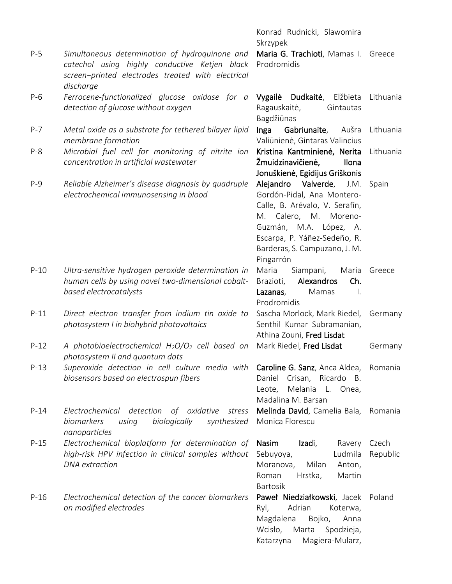|         |                                                                                                                                                                   | Konrad Rudnicki, Slawomira<br>Skrzypek                                                                                                                                                                                    |                   |
|---------|-------------------------------------------------------------------------------------------------------------------------------------------------------------------|---------------------------------------------------------------------------------------------------------------------------------------------------------------------------------------------------------------------------|-------------------|
| $P-5$   | Simultaneous determination of hydroquinone and<br>catechol using highly conductive Ketjen black<br>screen-printed electrodes treated with electrical<br>discharge | Maria G. Trachioti, Mamas I.<br>Prodromidis                                                                                                                                                                               | Greece            |
| $P-6$   | Ferrocene-functionalized glucose oxidase for a<br>detection of glucose without oxygen                                                                             | Vygailė<br>Dudkaitė,<br>Elžbieta<br>Ragauskaitė,<br>Gintautas<br>Bagdžiūnas                                                                                                                                               | Lithuania         |
| $P - 7$ | Metal oxide as a substrate for tethered bilayer lipid<br>membrane formation                                                                                       | Inga<br>Gabriunaite,<br>Aušra<br>Valiūnienė, Gintaras Valincius                                                                                                                                                           | Lithuania         |
| $P-8$   | Microbial fuel cell for monitoring of nitrite ion<br>concentration in artificial wastewater                                                                       | Kristina Kantminienė, Nerita<br>Žmuidzinavičienė,<br>Ilona<br>Jonuškienė, Egidijus Griškonis                                                                                                                              | Lithuania         |
| $P-9$   | Reliable Alzheimer's disease diagnosis by quadruple<br>electrochemical immunosensing in blood                                                                     | Alejandro Valverde, J.M.<br>Gordón-Pidal, Ana Montero-<br>Calle, B. Arévalo, V. Serafín,<br>M. Calero, M. Moreno-<br>Guzmán, M.A. López, A.<br>Escarpa, P. Yáñez-Sedeño, R.<br>Barderas, S. Campuzano, J. M.<br>Pingarrón | Spain             |
| $P-10$  | Ultra-sensitive hydrogen peroxide determination in<br>human cells by using novel two-dimensional cobalt-<br>based electrocatalysts                                | Maria<br>Siampani,<br>Maria<br>Alexandros<br>Brazioti,<br>Ch.<br>Lazanas,<br>Mamas<br>Ι.<br>Prodromidis                                                                                                                   | Greece            |
| $P-11$  | Direct electron transfer from indium tin oxide to<br>photosystem I in biohybrid photovoltaics                                                                     | Sascha Morlock, Mark Riedel,<br>Senthil Kumar Subramanian,<br>Athina Zouni, Fred Lisdat                                                                                                                                   | Germany           |
| $P-12$  | A photobioelectrochemical $H_2O/O_2$ cell based on<br>photosystem II and quantum dots                                                                             | Mark Riedel, Fred Lisdat                                                                                                                                                                                                  | Germany           |
| $P-13$  | Superoxide detection in cell culture media with Caroline G. Sanz, Anca Aldea,<br>biosensors based on electrospun fibers                                           | Daniel Crisan, Ricardo B.<br>Melania L. Onea,<br>Leote,<br>Madalina M. Barsan                                                                                                                                             | Romania           |
| $P-14$  | Electrochemical detection<br>of oxidative<br>stress<br><b>biomarkers</b><br>biologically<br>synthesized<br>using<br>nanoparticles                                 | Melinda David, Camelia Bala,<br>Monica Florescu                                                                                                                                                                           | Romania           |
| $P-15$  | Electrochemical bioplatform for determination of<br>high-risk HPV infection in clinical samples without<br><b>DNA</b> extraction                                  | Nasim<br>Izadi,<br>Ravery<br>Sebuyoya,<br>Ludmila<br>Milan<br>Moranova,<br>Anton,<br>Hrstka,<br>Roman<br>Martin<br><b>Bartosik</b>                                                                                        | Czech<br>Republic |
| $P-16$  | Electrochemical detection of the cancer biomarkers<br>on modified electrodes                                                                                      | Paweł Niedziałkowski, Jacek Poland<br>Adrian<br>Ryl,<br>Koterwa,<br>Magdalena<br>Bojko,<br>Anna<br>Wcisło, Marta<br>Spodzieja,<br>Magiera-Mularz,<br>Katarzyna                                                            |                   |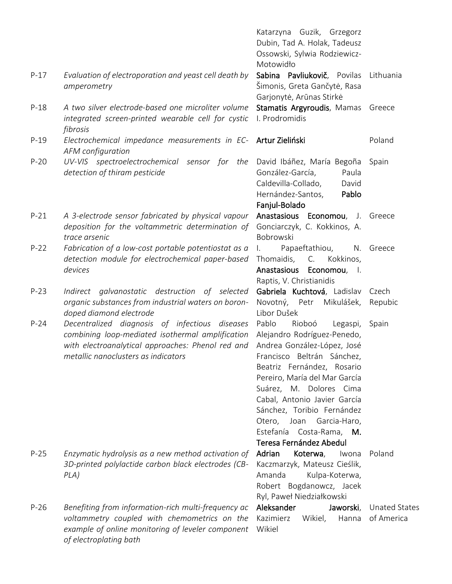|        |                                                                                                                                                                                                | Katarzyna Guzik, Grzegorz<br>Dubin, Tad A. Holak, Tadeusz<br>Ossowski, Sylwia Rodziewicz-<br>Motowidło                                                                                                                                                                                                                                                                |                                    |
|--------|------------------------------------------------------------------------------------------------------------------------------------------------------------------------------------------------|-----------------------------------------------------------------------------------------------------------------------------------------------------------------------------------------------------------------------------------------------------------------------------------------------------------------------------------------------------------------------|------------------------------------|
| $P-17$ | Evaluation of electroporation and yeast cell death by<br>amperometry                                                                                                                           | Sabina Pavliukovič, Povilas<br>Šimonis, Greta Gančytė, Rasa<br>Garjonytė, Arūnas Stirkė                                                                                                                                                                                                                                                                               | Lithuania                          |
| $P-18$ | A two silver electrode-based one microliter volume<br>integrated screen-printed wearable cell for cystic<br>fibrosis                                                                           | Stamatis Argyroudis, Mamas Greece<br>I. Prodromidis                                                                                                                                                                                                                                                                                                                   |                                    |
| $P-19$ | Electrochemical impedance measurements in EC- Artur Zieliński<br>AFM configuration                                                                                                             |                                                                                                                                                                                                                                                                                                                                                                       | Poland                             |
| $P-20$ | UV-VIS spectroelectrochemical sensor for the<br>detection of thiram pesticide                                                                                                                  | David Ibáñez, María Begoña<br>González-García,<br>Paula<br>Caldevilla-Collado,<br>David<br>Hernández-Santos,<br>Pablo<br>Fanjul-Bolado                                                                                                                                                                                                                                | Spain                              |
| $P-21$ | A 3-electrode sensor fabricated by physical vapour<br>deposition for the voltammetric determination of<br>trace arsenic                                                                        | Anastasious Economou, J. Greece<br>Gonciarczyk, C. Kokkinos, A.<br>Bobrowski                                                                                                                                                                                                                                                                                          |                                    |
| $P-22$ | Fabrication of a low-cost portable potentiostat as a<br>detection module for electrochemical paper-based<br>devices                                                                            | Papaeftathiou,<br>N.<br>Thomaidis,<br>C.<br>Kokkinos,<br>Anastasious Economou, I.<br>Raptis, V. Christianidis                                                                                                                                                                                                                                                         | Greece                             |
| $P-23$ | Indirect galvanostatic destruction of selected<br>organic substances from industrial waters on boron-<br>doped diamond electrode                                                               | Gabriela Kuchtová, Ladislav<br>Novotný, Petr Mikulášek,<br>Libor Dušek                                                                                                                                                                                                                                                                                                | Czech<br>Repubic                   |
| $P-24$ | Decentralized diagnosis of infectious diseases<br>combining loop-mediated isothermal amplification<br>with electroanalytical approaches: Phenol red and<br>metallic nanoclusters as indicators | Pablo<br>Rioboó<br>Legaspi,<br>Alejandro Rodríguez-Penedo,<br>Andrea González-López, José<br>Francisco Beltrán Sánchez,<br>Beatriz Fernández, Rosario<br>Pereiro, María del Mar García<br>Suárez, M. Dolores Cima<br>Cabal, Antonio Javier García<br>Sánchez, Toribio Fernández<br>Otero, Joan Garcia-Haro,<br>Estefanía<br>Costa-Rama, M.<br>Teresa Fernández Abedul | Spain                              |
| $P-25$ | Enzymatic hydrolysis as a new method activation of<br>3D-printed polylactide carbon black electrodes (CB-<br>PLA)                                                                              | Adrian<br>Koterwa,<br>Iwona<br>Kaczmarzyk, Mateusz Cieślik,<br>Amanda<br>Kulpa-Koterwa,<br>Robert Bogdanowcz, Jacek<br>Ryl, Paweł Niedziałkowski                                                                                                                                                                                                                      | Poland                             |
| $P-26$ | Benefiting from information-rich multi-frequency ac<br>voltammetry coupled with chemometrics on the<br>example of online monitoring of leveler component<br>of electroplating bath             | Aleksander<br>Jaworski,<br>Kazimierz<br>Wikiel,<br>Hanna<br>Wikiel                                                                                                                                                                                                                                                                                                    | <b>Unated States</b><br>of America |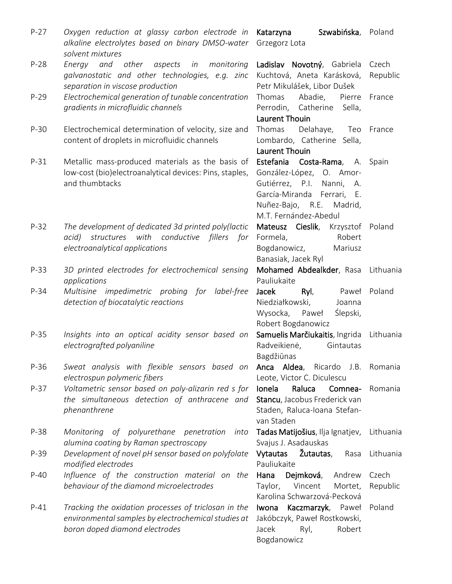| $P-27$ | Oxygen reduction at glassy carbon electrode in<br>alkaline electrolytes based on binary DMSO-water<br>solvent mixtures                        | Katarzyna<br>Szwabińska, Poland<br>Grzegorz Lota                                                                                                                           |                   |
|--------|-----------------------------------------------------------------------------------------------------------------------------------------------|----------------------------------------------------------------------------------------------------------------------------------------------------------------------------|-------------------|
| $P-28$ | and other aspects in<br>monitoring<br>Energy                                                                                                  | Ladislav Novotný, Gabriela                                                                                                                                                 | Czech             |
|        | galvanostatic and other technologies, e.g. zinc<br>separation in viscose production                                                           | Kuchtová, Aneta Karásková,<br>Petr Mikulášek, Libor Dušek                                                                                                                  | Republic          |
| $P-29$ | Electrochemical generation of tunable concentration<br>gradients in microfluidic channels                                                     | Abadie, Pierre<br>Thomas<br>Perrodin, Catherine<br>Sella,<br>Laurent Thouin                                                                                                | France            |
| $P-30$ | Electrochemical determination of velocity, size and<br>content of droplets in microfluidic channels                                           | Delahaye, Teo France<br>Thomas<br>Lombardo, Catherine Sella,<br>Laurent Thouin                                                                                             |                   |
| $P-31$ | Metallic mass-produced materials as the basis of<br>low-cost (bio)electroanalytical devices: Pins, staples,<br>and thumbtacks                 | Estefania Costa-Rama, A. Spain<br>González-López, O. Amor-<br>Gutiérrez, P.I. Nanni, A.<br>García-Miranda Ferrari, E.<br>Nuñez-Bajo, R.E. Madrid,<br>M.T. Fernández-Abedul |                   |
| $P-32$ | The development of dedicated 3d printed poly(lactic<br>acid) structures with conductive fillers for<br>electroanalytical applications         | Mateusz Cieslik, Krzysztof Poland<br>Formela,<br>Robert<br>Bogdanowicz,<br>Mariusz<br>Banasiak, Jacek Ryl                                                                  |                   |
| $P-33$ | 3D printed electrodes for electrochemical sensing<br>applications                                                                             | Mohamed Abdealkder, Rasa<br>Pauliukaite                                                                                                                                    | Lithuania         |
| $P-34$ | Multisine impedimetric probing for label-free<br>detection of biocatalytic reactions                                                          | Jacek<br>Ryl,<br>Paweł<br>Niedziałkowski,<br>Joanna<br>Wysocka, Paweł<br>Ślepski,<br>Robert Bogdanowicz                                                                    | Poland            |
| $P-35$ | Insights into an optical acidity sensor based on<br>electrografted polyaniline                                                                | Samuelis Marčiukaitis, Ingrida<br>Radveikienė,<br>Gintautas<br>Bagdžiūnas                                                                                                  | Lithuania         |
| $P-36$ | Sweat analysis with flexible sensors based on<br>electrospun polymeric fibers                                                                 | Anca Aldea, Ricardo J.B. Romania<br>Leote, Victor C. Diculescu                                                                                                             |                   |
| $P-37$ | Voltametric sensor based on poly-alizarin red s for<br>the simultaneous detection of anthracene and<br>phenanthrene                           | Raluca<br>Ionela<br>Comnea-<br>Stancu, Jacobus Frederick van<br>Staden, Raluca-Ioana Stefan-<br>van Staden                                                                 | Romania           |
| P-38   | Monitoring of polyurethane penetration into<br>alumina coating by Raman spectroscopy                                                          | Tadas Matijošius, Ilja Ignatjev,<br>Svajus J. Asadauskas                                                                                                                   | Lithuania         |
| $P-39$ | Development of novel pH sensor based on polyfolate<br>modified electrodes                                                                     | Vytautas Žutautas,<br>Rasa<br>Pauliukaite                                                                                                                                  | Lithuania         |
| $P-40$ | Influence of the construction material on the<br>behaviour of the diamond microelectrodes                                                     | Dejmková,<br>Hana<br>Andrew<br>Taylor, Vincent<br>Mortet,<br>Karolina Schwarzová-Pecková                                                                                   | Czech<br>Republic |
| $P-41$ | Tracking the oxidation processes of triclosan in the<br>environmental samples by electrochemical studies at<br>boron doped diamond electrodes | Kaczmarzyk, Paweł<br>Iwona<br>Jakóbczyk, Paweł Rostkowski,<br>Jacek<br>Robert<br>Ryl,<br>Bogdanowicz                                                                       | Poland            |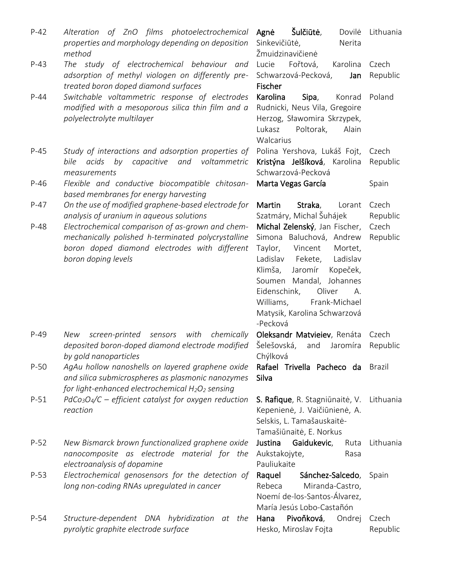P-42 *Alteration of ZnO films photoelectrochemical properties and morphology depending on deposition method* Agnė Šulčiūtė, Sinkevičiūtė, Nerita Žmuidzinavičienė Dovilė Lithuania P-43 *The study of electrochemical behaviour and adsorption of methyl viologen on differently pretreated boron doped diamond surfaces* Lucie Fořtová, Karolina Schwarzová-Pecková, Jan Fischer Czech Republic P-44 *Switchable voltammetric response of electrodes modified with a mesoporous silica thin film and a polyelectrolyte multilayer* Karolina Sipa, Rudnicki, Neus Vila, Gregoire Herzog, Sławomira Skrzypek, Lukasz Poltorak, Alain **Walcarius** Konrad Poland P-45 *Study of interactions and adsorption properties of bile acids by capacitive and voltammetric measurements* Polina Yershova, Lukáš Fojt, Kristýna Jelšíková, Karolina Schwarzová-Pecková Czech Republic P-46 *Flexible and conductive biocompatible chitosanbased membranes for energy harvesting* Marta Vegas García **Santa Spain** P-47 *On the use of modified graphene-based electrode for analysis of uranium in aqueous solutions* Martin Straka, Szatmáry, Michal Šuhájek Lorant Czech Republic P-48 *Electrochemical comparison of as-grown and chemmechanically polished h-terminated polycrystalline boron doped diamond electrodes with different boron doping levels* Michal Zelenský, Jan Fischer, Simona Baluchová, Andrew Taylor, Vincent Mortet, Ladislav Fekete, Ladislav Klimša, Jaromír Kopeček, Soumen Mandal, Johannes Eidenschink, Oliver A. Williams, Frank-Michael Matysik, Karolina Schwarzová -Pecková Czech Republic P-49 *New screen-printed sensors with chemically deposited boron-doped diamond electrode modified by gold nanoparticles* Oleksandr Matvieiev, Renáta Czech Šelešovská, and Jaromíra Chýlková Republic P-50 *AgAu hollow nanoshells on layered graphene oxide and silica submicrospheres as plasmonic nanozymes for light-enhanced electrochemical H2O<sup>2</sup> sensing* Rafael Trivella Pacheco da Brazil Silva P-51 *PdCo3O4/C – efficient catalyst for oxygen reduction reaction* S. Rafique, R. Stagniūnaitė, V. Lithuania Kepenienė, J. Vaičiūnienė, A. Selskis, L. Tamašauskaitė-Tamašiūnaitė, E. Norkus P-52 *New Bismarck brown functionalized graphene oxide nanocomposite as electrode material for the electroanalysis of dopamine* Justina Gaidukevic, Aukstakojyte, Rasa Pauliukaite Ruta Lithuania P-53 *Electrochemical genosensors for the detection of long non-coding RNAs upregulated in cancer* Raquel Sánchez-Salcedo, Rebeca Miranda-Castro, Noemí de-los-Santos-Álvarez, María Jesús Lobo-Castañón Spain P-54 *Structure-dependent DNA hybridization at the pyrolytic graphite electrode surface* Hana Pivoňková, Ondrej Hesko, Miroslav Fojta Czech Republic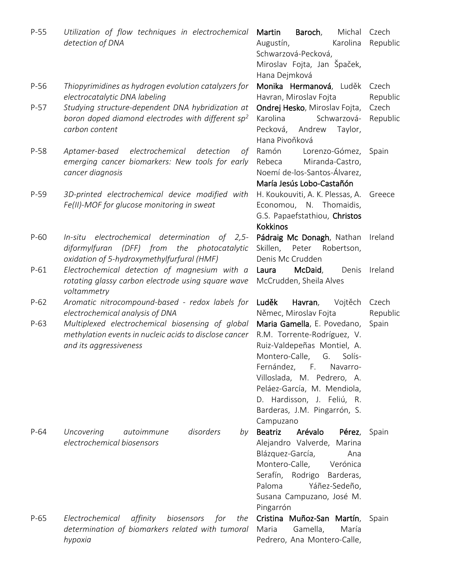| $P-55$ | Utilization of flow techniques in electrochemical<br>detection of DNA                                                                            | Martin<br>Baroch,<br>Michal<br>Augustín,<br>Karolina<br>Schwarzová-Pecková,<br>Miroslav Fojta, Jan Špaček,                                                                                                                                                                                            | Czech<br>Republic |
|--------|--------------------------------------------------------------------------------------------------------------------------------------------------|-------------------------------------------------------------------------------------------------------------------------------------------------------------------------------------------------------------------------------------------------------------------------------------------------------|-------------------|
| $P-56$ | Thiopyrimidines as hydrogen evolution catalyzers for<br>electrocatalytic DNA labeling                                                            | Hana Dejmková<br>Monika Hermanová, Luděk<br>Havran, Miroslav Fojta                                                                                                                                                                                                                                    | Czech<br>Republic |
| $P-57$ | Studying structure-dependent DNA hybridization at<br>boron doped diamond electrodes with different $sp^2$<br>carbon content                      | Ondrej Hesko, Miroslav Fojta,<br>Schwarzová-<br>Karolina<br>Pecková,<br>Andrew<br>Taylor,<br>Hana Pivoňková                                                                                                                                                                                           | Czech<br>Republic |
| $P-58$ | electrochemical<br>Aptamer-based<br>detection<br>οf<br>emerging cancer biomarkers: New tools for early<br>cancer diagnosis                       | Ramón<br>Lorenzo-Gómez,<br>Miranda-Castro,<br>Rebeca<br>Noemí de-los-Santos-Álvarez,<br>María Jesús Lobo-Castañón                                                                                                                                                                                     | Spain             |
| $P-59$ | 3D-printed electrochemical device modified with<br>Fe(II)-MOF for glucose monitoring in sweat                                                    | H. Koukouviti, A. K. Plessas, A.<br>Economou, N. Thomaidis,<br>G.S. Papaefstathiou, Christos<br><b>Kokkinos</b>                                                                                                                                                                                       | Greece            |
| $P-60$ | In-situ electrochemical determination of 2,5-<br>diformylfuran (DFF) from<br>the<br>photocatalytic<br>oxidation of 5-hydroxymethylfurfural (HMF) | Pádraig Mc Donagh, Nathan<br>Skillen,<br>Robertson,<br>Peter<br>Denis Mc Crudden                                                                                                                                                                                                                      | Ireland           |
| $P-61$ | Electrochemical detection of magnesium with a<br>rotating glassy carbon electrode using square wave<br>voltammetry                               | McDaid,<br>Denis<br>Laura<br>McCrudden, Sheila Alves                                                                                                                                                                                                                                                  | Ireland           |
| $P-62$ | Aromatic nitrocompound-based - redox labels for<br>electrochemical analysis of DNA                                                               | Luděk<br>Havran,<br>Vojtěch<br>Němec, Miroslav Fojta                                                                                                                                                                                                                                                  | Czech<br>Republic |
| $P-63$ | Multiplexed electrochemical biosensing of global<br>methylation events in nucleic acids to disclose cancer<br>and its aggressiveness             | Maria Gamella, E. Povedano,<br>R.M. Torrente-Rodríguez, V.<br>Ruiz-Valdepeñas Montiel, A.<br>Montero-Calle, G. Solís-<br>Fernández,<br>$-$ F. $-$<br>Navarro-<br>Villoslada, M. Pedrero, A.<br>Peláez-García, M. Mendiola,<br>D. Hardisson, J. Feliú, R.<br>Barderas, J.M. Pingarrón, S.<br>Campuzano | Spain             |
| $P-64$ | disorders<br>Uncovering<br>autoimmune<br>by<br>electrochemical biosensors                                                                        | <b>Beatriz</b><br>Arévalo<br>Pérez,<br>Alejandro Valverde, Marina<br>Blázquez-García,<br>Ana<br>Montero-Calle,<br>Verónica<br>Serafín, Rodrigo<br>Barderas,<br>Paloma<br>Yáñez-Sedeño,<br>Susana Campuzano, José M.<br>Pingarrón                                                                      | Spain             |
| $P-65$ | Electrochemical<br>affinity<br>biosensors<br>for<br>the<br>determination of biomarkers related with tumoral<br>hypoxia                           | Cristina Muñoz-San Martín,<br>Gamella,<br>María<br>Maria<br>Pedrero, Ana Montero-Calle,                                                                                                                                                                                                               | Spain             |